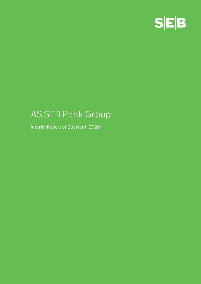

# **AS SEB Pank Group**

**Interim Report of Quarter II 2020**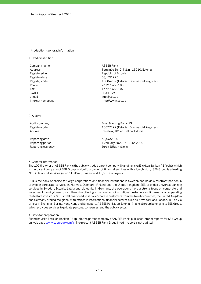#### **Introduction - general information**

**1. Credit institution**

**Company name AS SEB Pank Registered in Republic of Estonia Registry date 08/12/1995 Phone +372 6 655 100 Fax +372 6 655 102 SWIFT EEUHEE2X e-mail info@seb.ee Internet homepage http://www.seb.ee** 

**Address Tornimäe Str. 2, Tallinn 15010, Estonia Registry code 10004252 (Estonian Commercial Register)**

**2. Auditor**

**Reporting date 30/06/2020**

**Audit company Ernst & Young Baltic AS Registry code 10877299 (Estonian Commercial Register) Address Rävala 4, 10143 Tallinn, Estonia**

**Reporting period 1 January 2020 - 30 June 2020 Reporting currency Euro (EUR), millions**

**3. General information**

**The 100% owner of AS SEB Pank is the publicly traded parent company Skandinaviska Enskilda Banken AB (publ), which is the parent company of SEB Group, a Nordic provider of financial services with a long history. SEB Group is a leading Nordic financial services group. SEB Group has around 15,000 employees.** 

**SEB is the bank of choice for large corporations and financial institutions in Sweden and holds a forefront position in providing corporate services in Norway, Denmark, Finland and the United Kingdom. SEB provides universal banking services in Sweden, Estonia, Latvia and Lithuania. In Germany, the operations have a strong focus on corporate and investment banking based on a full-service offering to corporations, institutional customers and internationally operating real estate investors. SEB is well positioned to serve corporate customers from the Nordic countries, the United Kingdom and Germany around the globe, with offices in international financial centres such as New York and London, in Asia via offices in Shanghai, Beijing, Hong Kong and Singapore. AS SEB Pank is an Estonian financial group belonging to SEB Group, which provides services to private persons, companies, and the public sector.**

**4. Basis for preparation**

**Skandinaviska Enskilda Banken AB (publ), the parent company of AS SEB Pank, publishes interim reports for SEB Group on web page www.sebgroup.com/ir. The present AS SEB Pank Group interim report is not audited.**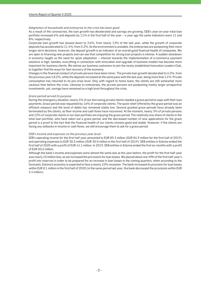# **Adaptation of households and enterprise to the crisis has been good**

**As a result of the coronacrisis, the loan growth has decelerated and savings are growing. SEB's year-on-year total loan portfolio increased 6% and deposits by 11% in the first half of the year – a year ago the same indicators were 11 and 8%, respectively.**

**Corporate loan growth has slowed down to 3.6%, from nearly 13% of the last year, while the growth of corporate deposits has accelerated to 11.4%, from 5.2%. As the environment is unstable, the enterprises are postponing their more longer-term decisions; however, the deposit growth is an indicator of an overall good financial health of companies. We are open to financing new projects and can see that competition for strong loan projects is intense. A sudden slowdown in economy taught us the need for quick adaptation – interest towards the implementation of e-commerce payment solutions is high; besides, everything in connection with innovation and upgrade of business models has become more important for business clients. We advise our business customers to join the newly established Innovation Leaders Club, to together find the ways for fast recovery of the economy.**

**Changes in the financial conduct of private persons have been minor. The private loan growth decelerated to 6.5%, from the previous year's 8.2%, while the deposits increased at the same pace with the last year, being more than 11%. Private consumption has returned to its pre-crisis level. Only with regard to home loans, the clients are still somewhat more cautious than before the crisis. Likewise to enterprises, the private persons are postponing mainly larger prospective investments; yet, savings have remained on a high level throughout the crisis.**

### **Grace period served its purpose**

**During the emergency situation, nearly 4% of our borrowing private clients needed a grace period to cope with their loan payments. Grace period was requested by 16% of corporate clients. The quick relief offered by the grace period was an efficient measure and the level of debts has remained stably low. Several granted grace periods have already been terminated by the clients, as their income and cash flows have recovered. At the moment, nearly 3% of private persons and 12% of corporate clients in our loan portfolio are enjoying the grace period. The relatively low share of clients in the total loan portfolio, who have taken out a grace period, and the decreased number of new applications for the grace period is a proof to the fact that the financial health of our clients remains good and stable. However, if the clients are facing any setbacks in income or cash flows, we still encourage them to ask for a grace period.**

### **SEB's income and expenses on the previous year level**

**SEB's operating income for the first half-year amounted to EUR 85.3 million (EUR 84.9 million for the first half of 2019) and operating expenses to EUR 30.5 million (EUR 30.0 million in the first half of 2019). SEB entities in Estonia ended the first half of 2020 with a profit of EUR 41.1 million. In 2019, SEB entities in Estonia ended the first six months with a profit of EUR 50.6 million.**

**Although the bank's income and expenses were almost the same size as the year before, the profit for the first half-year was nearly 10 million less, as we increased the provisions for loan losses. We placed about one-fifth of the first half-year's profit into reserves in order to be prepared for an increase in loan losses in the coming quarters, when according to the forecasts, Estonia's economy is expected to face a nearly 10% recession. The bank increased its provision for loan losses within EUR 8.1 million in the first half of 2020 (in the same period last year, the bank decreased the provisions within EUR 2.4 million).**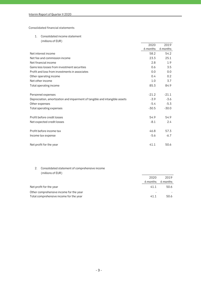## **Consolidated financial statements**

**1. Consolidated income statement**

| (millions of EUR)                                                           |          |          |
|-----------------------------------------------------------------------------|----------|----------|
|                                                                             | 2020     | 2019     |
|                                                                             | 6 months | 6 months |
| Net interest income                                                         | 58.2     | 54.2     |
| Net fee and commission income                                               | 23.3     | 25.1     |
| Net financial income                                                        | 2.8      | 1.9      |
| Gains less losses from investment securities                                | 0.6      | 3.5      |
| Profit and loss from investments in associates                              | 0.0      | 0.0      |
| Other operating income                                                      | 0.4      | 0.2      |
| Net other income                                                            | 1.0      | 3.7      |
| Total operating income                                                      | 85.3     | 84.9     |
| Personnel expenses                                                          | $-21.2$  | $-21.1$  |
| Depreciation, amortization and impairment of tangible and intangible assets | $-3.9$   | $-3.6$   |
| Other expenses                                                              | $-5.4$   | $-5.3$   |
| Total operating expenses                                                    | $-30.5$  | $-30.0$  |
| Profit before credit losses                                                 | 54.9     | 54.9     |
| Net expected credit losses                                                  | $-8.1$   | 2.4      |
| Profit before income tax                                                    | 46.8     | 57.3     |
| Income tax expense                                                          | $-5.6$   | $-6.7$   |
| Net profit for the year                                                     | 41.1     | 50.6     |

# **2. Consolidated statement of comprehensive income (millions of EUR)**

| 2020     | 2019     |
|----------|----------|
| 6 months | 6 months |
| 41.1     | 50.6     |
|          |          |
| 411      | 50.6     |
|          |          |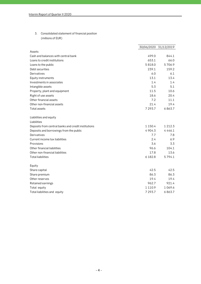**3. Consolidated statement of financial position (millions of EUR)**

|                                                     |             | 30/06/2020 31/12/2019 |
|-----------------------------------------------------|-------------|-----------------------|
| Assets                                              |             |                       |
| Cash and balances with central bank                 | 499.0       | 844.1                 |
| Loans to credit institutions                        | 653.1       | 66.0                  |
| Loans to the public                                 | 5818.0      | 5706.9                |
| Debt securities                                     | 239.1       | 159.2                 |
| Derivatives                                         | 6.0         | 6.1                   |
| Equity instruments                                  | 13.1        | 13.4                  |
| Investments in associates                           | 1.4         | 1.4                   |
| Intangible assets                                   | 5.3         | 5.1                   |
| Property, plant and equipment                       | 11.5        | 10.6                  |
| Right of use assets                                 | 18.6        | 20.4                  |
| Other financial assets                              | 7.2         | 11.1                  |
| Other non-financial assets                          | 21.4        | 19.4                  |
| Total assets                                        | 7 293.7     | 6863.7                |
| Liabilities and equity                              |             |                       |
| Liabilities                                         |             |                       |
| Deposits from central banks and credit institutions | 1 1 5 0 . 4 | 1 2 1 2 . 3           |
| Deposits and borrowings from the public             | 4904.3      | 4446.1                |
| Derivatives                                         | 7.7         | 7.8                   |
| Current income tax liabilities                      | 2.4         | 6.9                   |
| Provisions                                          | 3.6         | 3.3                   |
| Other financial liabilities                         | 96.6        | 104.1                 |
| Other non-financial liabilities                     | 17.8        | 13.6                  |
| <b>Total liabilities</b>                            | 6 18 2.8    | 5794.1                |
| Equity                                              |             |                       |
| Share capital                                       | 42.5        | 42.5                  |
| Share premium                                       | 86.3        | 86.3                  |
| Other reserves                                      | 19.4        | 19.4                  |
| Retained earnings                                   | 962.7       | 921.4                 |
| Total equity                                        | 1 1 1 0.9   | 1 0 6 9 . 6           |
| Total liabilities and equity                        | 7 293.7     | 6863.7                |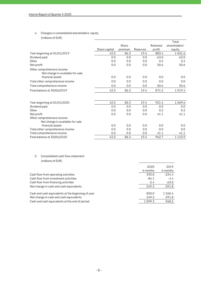# **4. Changes in consolidated shareholders' equity (millions of EUR)**

|                                                                                     |               |         |          |          | Total         |
|-------------------------------------------------------------------------------------|---------------|---------|----------|----------|---------------|
|                                                                                     |               | Share   |          | Retained | shareholders' |
|                                                                                     | Share capital | premium | Reserves | profit   | equity        |
| Year beginning at 01/01/2019                                                        | 42.5          | 86.3    | 19.4     | 883.4    | 1031.6        |
| Dividend paid                                                                       | 0.0           | 0.0     | 0.0      | $-63.0$  | $-63.0$       |
| Other                                                                               | 0.0           | 0.0     | 0.0      | 0.2      | 0.2           |
| Net profit                                                                          | 0.0           | 0.0     | 0.0      | 50.6     | 50.6          |
| Other comprehensive income:<br>Net change in available-for-sale<br>financial assets | 0.0           | 0.0     | 0.0      | 0.0      | 0.0           |
| Total other comprehensive income                                                    | 0.0           | 0.0     | 0.0      | 0.0      | 0.0           |
| Total comprehensive income                                                          | 0.0           | 0.0     | 0.0      | 50.6     | 50.6          |
| Final balance at 30/06/2019                                                         | 42.5          | 86.3    | 19.4     | 871.2    | 1 0 1 9 . 4   |
|                                                                                     |               |         |          |          |               |
| Year beginning at 01/01/2020                                                        | 42.5          | 86.3    | 19.4     | 921.4    | 1069.6        |
| Dividend paid                                                                       | 0.0           | 0.0     | 0.0      | 0.0      | 0.0           |
| Other                                                                               | 0.0           | 0.0     | 0.0      | 0.2      | 0.2           |
| Net profit                                                                          | 0.0           | 0.0     | 0.0      | 41.1     | 41.1          |
| Other comprehensive income:                                                         |               |         |          |          |               |
| Net change in available-for-sale                                                    |               |         |          |          |               |
| financial assets                                                                    | 0.0           | 0.0     | 0.0      | 0.0      | 0.0           |
| Total other comprehensive income                                                    | 0.0           | 0.0     | 0.0      | 0.0      | 0.0           |
| Total comprehensive income                                                          | 0.0           | 0.0     | 0.0      | 41.1     | 41.1          |
| Final balance at 30/06/2020                                                         | 42.5          | 86.3    | 19.4     | 962.7    | 1 1 1 0.9     |

# **5. Consolidated cash flow statement (millions of EUR)**

| 2020     | 2019     |
|----------|----------|
| 6 months | 6 months |
| 335.8    | $-224.4$ |
| $-84.1$  | $-4.4$   |
| $-2.4$   | $-63.0$  |
| 249.3    | $-291.8$ |
| 850.0    | 1 260.4  |
| 249.3    | $-291.8$ |
| 1099.3   | 968.2    |
|          |          |